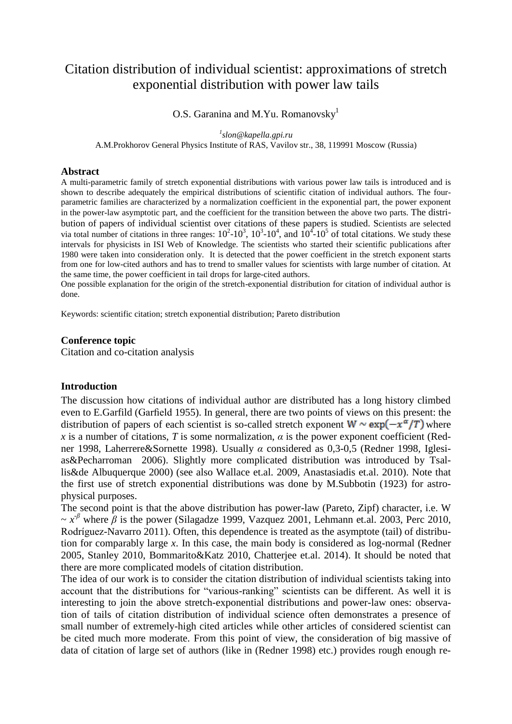# Citation distribution of individual scientist: approximations of stretch exponential distribution with power law tails

O.S. Garanina and M.Yu. Romanovsky<sup>1</sup>

*1 slon@kapella.gpi.ru* A.M.Prokhorov General Physics Institute of RAS, Vavilov str., 38, 119991 Moscow (Russia)

## **Abstract**

A multi-parametric family of stretch exponential distributions with various power law tails is introduced and is shown to describe adequately the empirical distributions of scientific citation of individual authors. The fourparametric families are characterized by a normalization coefficient in the exponential part, the power exponent in the power-law asymptotic part, and the coefficient for the transition between the above two parts. The distribution of papers of individual scientist over citations of these papers is studied. Scientists are selected via total number of citations in three ranges:  $10^2$ - $10^3$ ,  $10^3$ - $10^4$ , and  $10^4$ - $10^5$  of total citations. We study these intervals for physicists in ISI Web of Knowledge. The scientists who started their scientific publications after 1980 were taken into consideration only. It is detected that the power coefficient in the stretch exponent starts from one for low-cited authors and has to trend to smaller values for scientists with large number of citation. At the same time, the power coefficient in tail drops for large-cited authors.

One possible explanation for the origin of the stretch-exponential distribution for citation of individual author is done.

Keywords: scientific citation; stretch exponential distribution; Pareto distribution

#### **Conference topic**

Citation and co-citation analysis

#### **Introduction**

The discussion how citations of individual author are distributed has a long history climbed even to E.Garfild (Garfield 1955). In general, there are two points of views on this present: the distribution of papers of each scientist is so-called stretch exponent  $W \sim \exp(-x^{\alpha}/T)$  where *x* is a number of citations, *T* is some normalization,  $\alpha$  is the power exponent coefficient (Redner 1998, Laherrere&Sornette 1998). Usually *α* considered as 0,3-0,5 (Redner 1998, Iglesias&Pecharroman 2006). Slightly more complicated distribution was introduced by Tsallis&de Albuquerque 2000) (see also Wallace et.al. 2009, Anastasiadis et.al. 2010). Note that the first use of stretch exponential distributions was done by M.Subbotin (1923) for astrophysical purposes.

The second point is that the above distribution has power-law (Pareto, Zipf) character, i.e. W  $\sim x^{\beta}$  where  $\beta$  is the power (Silagadze 1999, Vazquez 2001, Lehmann et.al. 2003, Perc 2010, Rodríguez-Navarro 2011). Often, this dependence is treated as the asymptote (tail) of distribution for comparably large *x*. In this case, the main body is considered as log-normal (Redner 2005, Stanley 2010, Bommarito&Katz 2010, Chatterjee et.al. 2014). It should be noted that there are more complicated models of citation distribution.

The idea of our work is to consider the citation distribution of individual scientists taking into account that the distributions for "various-ranking" scientists can be different. As well it is interesting to join the above stretch-exponential distributions and power-law ones: observation of tails of citation distribution of individual science often demonstrates a presence of small number of extremely-high cited articles while other articles of considered scientist can be cited much more moderate. From this point of view, the consideration of big massive of data of citation of large set of authors (like in (Redner 1998) etc.) provides rough enough re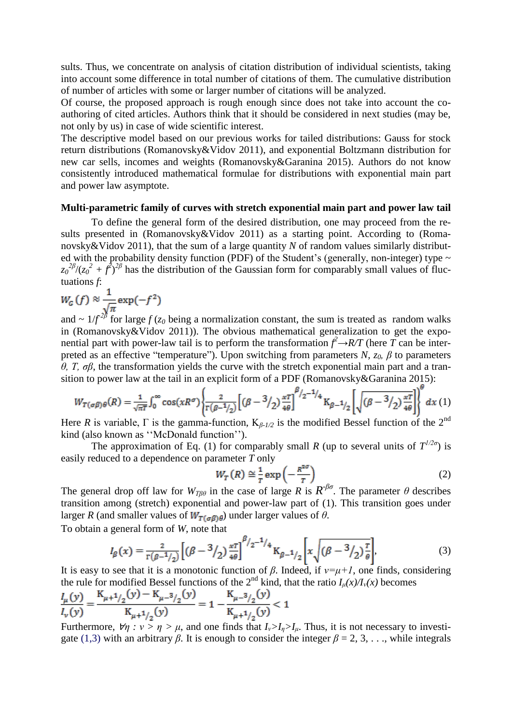sults. Thus, we concentrate on analysis of citation distribution of individual scientists, taking into account some difference in total number of citations of them. The cumulative distribution of number of articles with some or larger number of citations will be analyzed.

Of course, the proposed approach is rough enough since does not take into account the coauthoring of cited articles. Authors think that it should be considered in next studies (may be, not only by us) in case of wide scientific interest.

The descriptive model based on our previous works for tailed distributions: Gauss for stock return distributions (Romanovsky&Vidov 2011), and exponential Boltzmann distribution for new car sells, incomes and weights (Romanovsky&Garanina 2015). Authors do not know consistently introduced mathematical formulae for distributions with exponential main part and power law asymptote.

#### **Multi-parametric family of curves with stretch exponential main part and power law tail**

To define the general form of the desired distribution, one may proceed from the results presented in (Romanovsky&Vidov 2011) as a starting point. According to (Romanovsky&Vidov 2011), that the sum of a large quantity *N* of random values similarly distributed with the probability density function (PDF) of the Student's (generally, non-integer) type  $\sim$  $z_0^{2\beta}/(z_0^2 + f^2)^{2\beta}$  has the distribution of the Gaussian form for comparably small values of fluctuations *f*:

$$
W_G(f) \approx \frac{1}{\sqrt{\pi}} \exp(-f^2)
$$

and ~  $1/f^{2\beta}$  for large *f* (*z*<sub>0</sub> being a normalization constant, the sum is treated as random walks in (Romanovsky&Vidov 2011)). The obvious mathematical generalization to get the exponential part with power-law tail is to perform the transformation  $\hat{f} \rightarrow RT$  (here  $\hat{T}$  can be interpreted as an effective "temperature"). Upon switching from parameters *N*,  $z_0$ ,  $\beta$  to parameters *θ, T, σβ*, the transformation yields the curve with the stretch exponential main part and a transition to power law at the tail in an explicit form of a PDF (Romanovsky&Garanina 2015):

$$
W_{T(\sigma\beta)\theta}(R) = \frac{1}{\sqrt{\pi T}} \int_0^\infty \cos(xR\sigma) \left\{ \frac{2}{\Gamma(\beta - 1/2)} \left[ (\beta - 3/2) \frac{\pi T}{4\theta} \right]^{\beta/2 - 1/4} \mathcal{K}_{\beta - 1/2} \left[ \sqrt{(\beta - 3/2) \frac{\pi T}{4\theta}} \right] \right\}^{\circ} dx
$$
 (1)

Here *R* is variable,  $\Gamma$  is the gamma-function,  $K_{\beta-1/2}$  is the modified Bessel function of the 2<sup>nd</sup> kind (also known as "McDonald function").

The approximation of Eq. (1) for comparably small *R* (up to several units of  $T^{1/2\sigma}$ ) is easily reduced to a dependence on parameter *T* only

$$
W_T(R) \cong \frac{1}{T} \exp\left(-\frac{R^{2\sigma}}{T}\right)
$$
 (2)

The general drop off law for  $W_{T\beta\theta}$  in the case of large *R* is  $R^{-\beta\sigma}$ . The parameter  $\theta$  describes transition among (stretch) exponential and power-law part of (1). This transition goes under larger *R* (and smaller values of  $W_{T(\sigma B)\theta}$ ) under larger values of  $\theta$ .

To obtain a general form of *W*, note that

$$
I_{\beta}(x) = \frac{2}{\Gamma(\beta - 1/2)} \left[ (\beta - 3/2) \frac{x \tau}{4\theta} \right]^{\beta/2 - 1/4} \text{K}_{\beta - 1/2} \left[ x \sqrt{(\beta - 3/2) \frac{\tau}{\theta}} \right],\tag{3}
$$

It is easy to see that it is a monotonic function of  $\beta$ . Indeed, if  $v=\mu+1$ , one finds, considering the rule for modified Bessel functions of the  $2^{nd}$  kind, that the ratio  $I_\mu(x)/I_\nu(x)$  becomes

$$
\frac{I_{\mu}(y)}{I_{\nu}(y)} = \frac{K_{\mu+1/2}(y) - K_{\mu-3/2}(y)}{K_{\mu+1/2}(y)} = 1 - \frac{K_{\mu-3/2}(y)}{K_{\mu+1/2}(y)} < 1
$$

Furthermore,  $\forall \eta : \nu > \eta > \mu$ , and one finds that  $I_{\nu} > I_{\eta} > I_{\mu}$ . Thus, it is not necessary to investigate (1,3) with an arbitrary *β*. It is enough to consider the integer  $\beta = 2, 3, \ldots$ , while integrals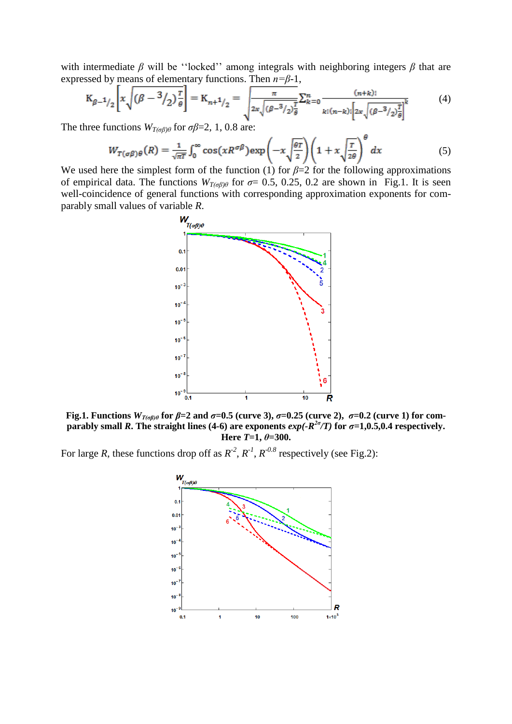with intermediate *β* will be "locked" among integrals with neighboring integers *β* that are expressed by means of elementary functions. Then *n=β*-1,

$$
K_{\beta-1/2} \left[ x \sqrt{(\beta - 3/2)^{\frac{r}{\theta}}} \right] = K_{n+1/2} = \sqrt{\frac{\pi}{2x \sqrt{(\beta - 3/2)^{\frac{r}{\theta}}}} \sum_{k=0}^{n} \frac{(n+k)!}{k! (n-k)! \left[ 2x \sqrt{(\beta - 3/2)^{\frac{r}{\theta}}} \right]^k}
$$
(4)

The three functions  $W_{T(\sigma\beta)\theta}$  for  $\sigma\beta=2, 1, 0.8$  are:

$$
W_{T(\sigma\beta)\theta}(R) = \frac{1}{\sqrt{\pi T}} \int_0^\infty \cos(xR^{\sigma\beta}) \exp\left(-x\sqrt{\frac{\theta T}{2}}\right) \left(1 + x\sqrt{\frac{T}{2\theta}}\right)^{\theta} dx \tag{5}
$$

We used here the simplest form of the function (1) for  $\beta=2$  for the following approximations of empirical data. The functions  $W_{T(\sigma\beta)\theta}$  for  $\sigma$ = 0.5, 0.25, 0.2 are shown in Fig.1. It is seen well-coincidence of general functions with corresponding approximation exponents for comparably small values of variable *R*.



**Fig.1. Functions**  $W_{T(\sigma\beta)\theta}$  for  $\beta = 2$  and  $\sigma = 0.5$  (curve 3),  $\sigma = 0.25$  (curve 2),  $\sigma = 0.2$  (curve 1) for com**parably small** *R***. The straight lines (4-6) are exponents**  $exp(-R^{2\sigma}/T)$  **for**  $\sigma=1,0.5,0.4$  **respectively. Here** *T***=1,** *θ***=300.**

For large *R*, these functions drop off as  $R^2$ ,  $R^1$ ,  $R^{0.8}$  respectively (see Fig.2):

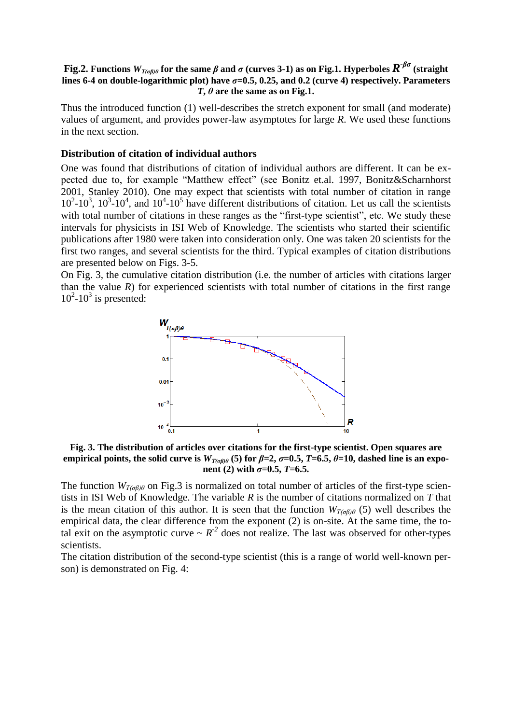## **Fig.2. Functions** *WT(σβ)θ* **for the same** *β* **and** *σ* **(curves 3-1) as on Fig.1. Hyperboles** *R -βσ* **(straight lines 6-4 on double-logarithmic plot**) have  $\sigma$ =0.5, 0.25, and 0.2 (curve 4) respectively. Parameters *T***,**  $\theta$  are the same as on Fig.1.

Thus the introduced function (1) well-describes the stretch exponent for small (and moderate) values of argument, and provides power-law asymptotes for large *R*. We used these functions in the next section.

## **Distribution of citation of individual authors**

One was found that distributions of citation of individual authors are different. It can be expected due to, for example "Matthew effect" (see Bonitz et.al. 1997, Bonitz&Scharnhorst 2001, Stanley 2010). One may expect that scientists with total number of citation in range  $10^2$ -10<sup>3</sup>,  $10^3$ -10<sup>4</sup>, and  $10^4$ -10<sup>5</sup> have different distributions of citation. Let us call the scientists with total number of citations in these ranges as the "first-type scientist", etc. We study these intervals for physicists in ISI Web of Knowledge. The scientists who started their scientific publications after 1980 were taken into consideration only. One was taken 20 scientists for the first two ranges, and several scientists for the third. Typical examples of citation distributions are presented below on Figs. 3-5.

On Fig. 3, the cumulative citation distribution (i.e. the number of articles with citations larger than the value  $R$ ) for experienced scientists with total number of citations in the first range  $10^2$ - $10^3$  is presented:



**Fig. 3. The distribution of articles over citations for the first-type scientist. Open squares are empirical points, the solid curve is**  $W_{T(\sigma\beta)\theta}$  **(5) for**  $\beta=2$ **,**  $\sigma=0.5$ **,**  $T=6.5$ **,**  $\theta=10$ **, dashed line is an exponent** (2) with  $\sigma = 0.5$ ,  $T = 6.5$ .

The function *WT(σβ)θ* on Fig.3 is normalized on total number of articles of the first-type scientists in ISI Web of Knowledge. The variable *R* is the number of citations normalized on *T* that is the mean citation of this author. It is seen that the function  $W_{T(\sigma\beta)\theta}$  (5) well describes the empirical data, the clear difference from the exponent (2) is on-site. At the same time, the total exit on the asymptotic curve  $\sim R^{-2}$  does not realize. The last was observed for other-types scientists.

The citation distribution of the second-type scientist (this is a range of world well-known person) is demonstrated on Fig. 4: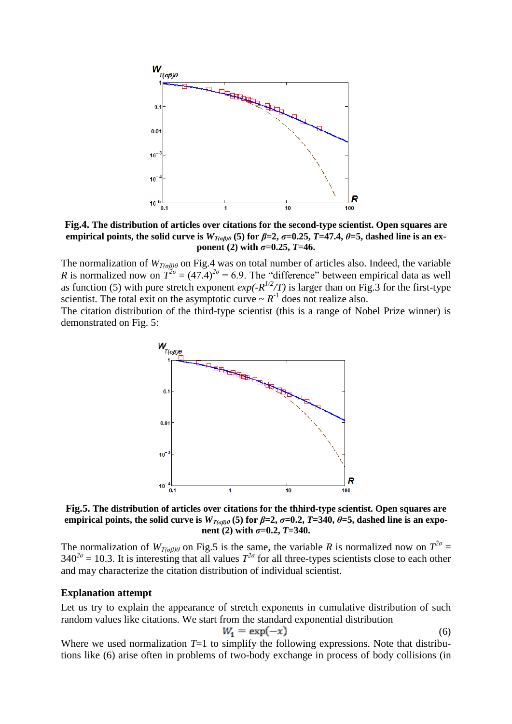

**Fig.4. The distribution of articles over citations for the second-type scientist. Open squares are empirical points, the solid curve is**  $W_{T(\sigma\beta)\theta}$  **(5) for**  $\beta=2$ **,**  $\sigma=0.25$ **,**  $T=47.4$ **,**  $\theta=5$ **, dashed line is an exponent** (2) with  $\sigma = 0.25$ ,  $T = 46$ .

The normalization of *WT(σβ)θ* on Fig.4 was on total number of articles also. Indeed, the variable *R* is normalized now on  $T^{2\sigma} = (47.4)^{2\sigma} = 6.9$ . The "difference" between empirical data as well as function (5) with pure stretch exponent  $exp(-R^{1/2}/T)$  is larger than on Fig. 3 for the first-type scientist. The total exit on the asymptotic curve  $\sim R^{-1}$  does not realize also.

The citation distribution of the third-type scientist (this is a range of Nobel Prize winner) is demonstrated on Fig. 5:



**Fig.5. The distribution of articles over citations for the thhird-type scientist. Open squares are empirical points, the solid curve is**  $W_{T(\sigma\beta)\theta}$  **(5) for**  $\beta=2$ **,**  $\sigma=0.2$ **,**  $T=340$ **,**  $\theta=5$ **, dashed line is an exponent** (2) with  $\sigma = 0.2$ ,  $T = 340$ .

The normalization of  $W_{T(\sigma\beta)\theta}$  on Fig.5 is the same, the variable *R* is normalized now on  $T^{2\sigma}$  =  $340^{2\sigma}$  = 10.3. It is interesting that all values  $T^{2\sigma}$  for all three-types scientists close to each other and may characterize the citation distribution of individual scientist.

#### **Explanation attempt**

Let us try to explain the appearance of stretch exponents in cumulative distribution of such random values like citations. We start from the standard exponential distribution

$$
W_1 = \exp(-x) \tag{6}
$$

Where we used normalization  $T=1$  to simplify the following expressions. Note that distributions like (6) arise often in problems of two-body exchange in process of body collisions (in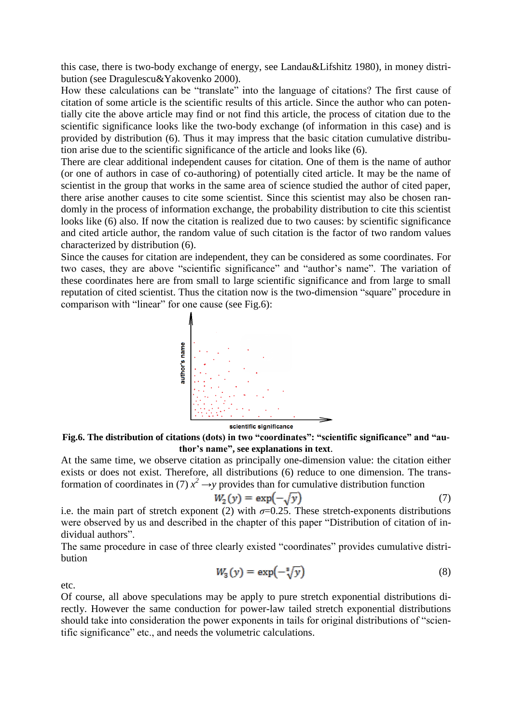this case, there is two-body exchange of energy, see Landau&Lifshitz 1980), in money distribution (see Dragulescu&Yakovenko 2000).

How these calculations can be "translate" into the language of citations? The first cause of citation of some article is the scientific results of this article. Since the author who can potentially cite the above article may find or not find this article, the process of citation due to the scientific significance looks like the two-body exchange (of information in this case) and is provided by distribution (6). Thus it may impress that the basic citation cumulative distribution arise due to the scientific significance of the article and looks like (6).

There are clear additional independent causes for citation. One of them is the name of author (or one of authors in case of co-authoring) of potentially cited article. It may be the name of scientist in the group that works in the same area of science studied the author of cited paper, there arise another causes to cite some scientist. Since this scientist may also be chosen randomly in the process of information exchange, the probability distribution to cite this scientist looks like (6) also. If now the citation is realized due to two causes: by scientific significance and cited article author, the random value of such citation is the factor of two random values characterized by distribution (6).

Since the causes for citation are independent, they can be considered as some coordinates. For two cases, they are above "scientific significance" and "author's name". The variation of these coordinates here are from small to large scientific significance and from large to small reputation of cited scientist. Thus the citation now is the two-dimension "square" procedure in comparison with "linear" for one cause (see Fig.6):



**Fig.6. The distribution of citations (dots) in two "coordinates": "scientific significance" and "author's name", see explanations in text**.

At the same time, we observe citation as principally one-dimension value: the citation either exists or does not exist. Therefore, all distributions (6) reduce to one dimension. The transformation of coordinates in (7)  $x^2 \rightarrow y$  provides than for cumulative distribution function

$$
W_2(y) = \exp(-\sqrt{y})\tag{7}
$$

i.e. the main part of stretch exponent (2) with  $\sigma$ =0.25. These stretch-exponents distributions were observed by us and described in the chapter of this paper "Distribution of citation of individual authors".

The same procedure in case of three clearly existed "coordinates" provides cumulative distribution

$$
W_3(y) = \exp(-\sqrt[8]{y})\tag{8}
$$

etc.

Of course, all above speculations may be apply to pure stretch exponential distributions directly. However the same conduction for power-law tailed stretch exponential distributions should take into consideration the power exponents in tails for original distributions of "scientific significance" etc., and needs the volumetric calculations.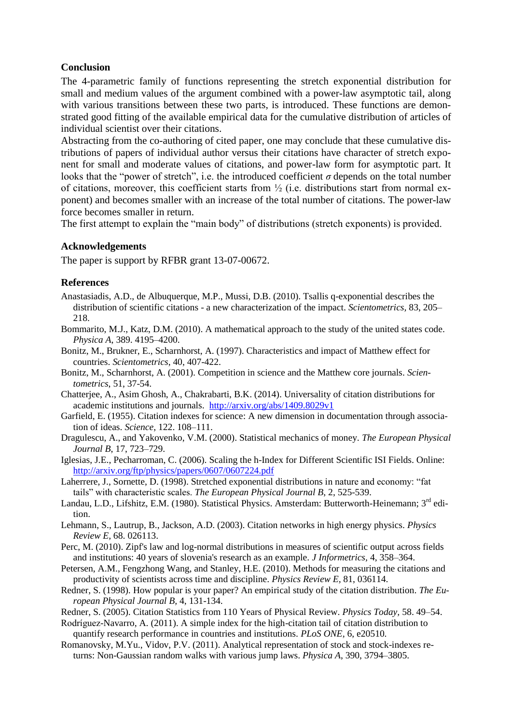## **Conclusion**

The 4-parametric family of functions representing the stretch exponential distribution for small and medium values of the argument combined with a power-law asymptotic tail, along with various transitions between these two parts, is introduced. These functions are demonstrated good fitting of the available empirical data for the cumulative distribution of articles of individual scientist over their citations.

Abstracting from the co-authoring of cited paper, one may conclude that these cumulative distributions of papers of individual author versus their citations have character of stretch exponent for small and moderate values of citations, and power-law form for asymptotic part. It looks that the "power of stretch", i.e. the introduced coefficient  $\sigma$  depends on the total number of citations, moreover, this coefficient starts from  $\frac{1}{2}$  (i.e. distributions start from normal exponent) and becomes smaller with an increase of the total number of citations. The power-law force becomes smaller in return.

The first attempt to explain the "main body" of distributions (stretch exponents) is provided.

# **Acknowledgements**

The paper is support by RFBR grant 13-07-00672.

## **References**

- Anastasiadis, A.D., de Albuquerque, M.P., Mussi, D.B. (2010). Tsallis q-exponential describes the distribution of scientific citations - a new characterization of the impact. *Scientometrics,* 83, 205– 218.
- Bommarito, M.J., Katz, D.M. (2010). A mathematical approach to the study of the united states code. *Physica A*, 389. 4195–4200.
- Bonitz, M., Brukner, E., Scharnhorst, A. (1997). Characteristics and impact of Matthew effect for countries. *Scientometrics*, 40, 407-422.
- Bonitz, M., Scharnhorst, A. (2001). Competition in science and the Matthew core journals. *Scientometrics*, 51, 37-54.
- Chatterjee, A., Asim Ghosh, A., Chakrabarti, B.K. (2014). Universality of citation distributions for academic institutions and journals. <http://arxiv.org/abs/1409.8029v1>
- Garfield, E. (1955). Citation indexes for science: A new dimension in documentation through association of ideas. *Science*, 122. 108–111.
- Dragulescu, A., and Yakovenko, V.M. (2000). Statistical mechanics of money. *The European Physical Journal B*, 17, 723–729.
- Iglesias, J.E., Pecharroman, C. (2006). Scaling the h-Index for Different Scientific ISI Fields. Online: <http://arxiv.org/ftp/physics/papers/0607/0607224.pdf>
- Laherrere, J., Sornette, D. (1998). Stretched exponential distributions in nature and economy: "fat tails" with characteristic scales. *The European Physical Journal B*, 2, 525-539.
- Landau, L.D., Lifshitz, E.M. (1980). Statistical Physics. Amsterdam: Butterworth-Heinemann; 3<sup>rd</sup> edition.
- Lehmann, S., Lautrup, B., Jackson, A.D. (2003). Citation networks in high energy physics. *Physics Review E,* 68. 026113.
- Perc, M. (2010). Zipf's law and log-normal distributions in measures of scientific output across fields and institutions: 40 years of slovenia's research as an example. *J Informetrics,* 4, 358–364.
- Petersen, A.M., Fengzhong Wang, and Stanley, H.E. (2010). Methods for measuring the citations and productivity of scientists across time and discipline. *Physics Review E,* 81, 036114.
- Redner, S. (1998). How popular is your paper? An empirical study of the citation distribution. *The European Physical Journal B,* 4, 131-134.
- Redner, S. (2005). Citation Statistics from 110 Years of Physical Review. *Physics Today,* 58. 49–54.
- Rodríguez-Navarro, A. (2011). A simple index for the high-citation tail of citation distribution to quantify research performance in countries and institutions. *PLoS ONE,* 6, e20510.
- Romanovsky, M.Yu., Vidov, P.V. (2011). Analytical representation of stock and stock-indexes returns: Non-Gaussian random walks with various jump laws. *Physica A*, 390, 3794–3805.